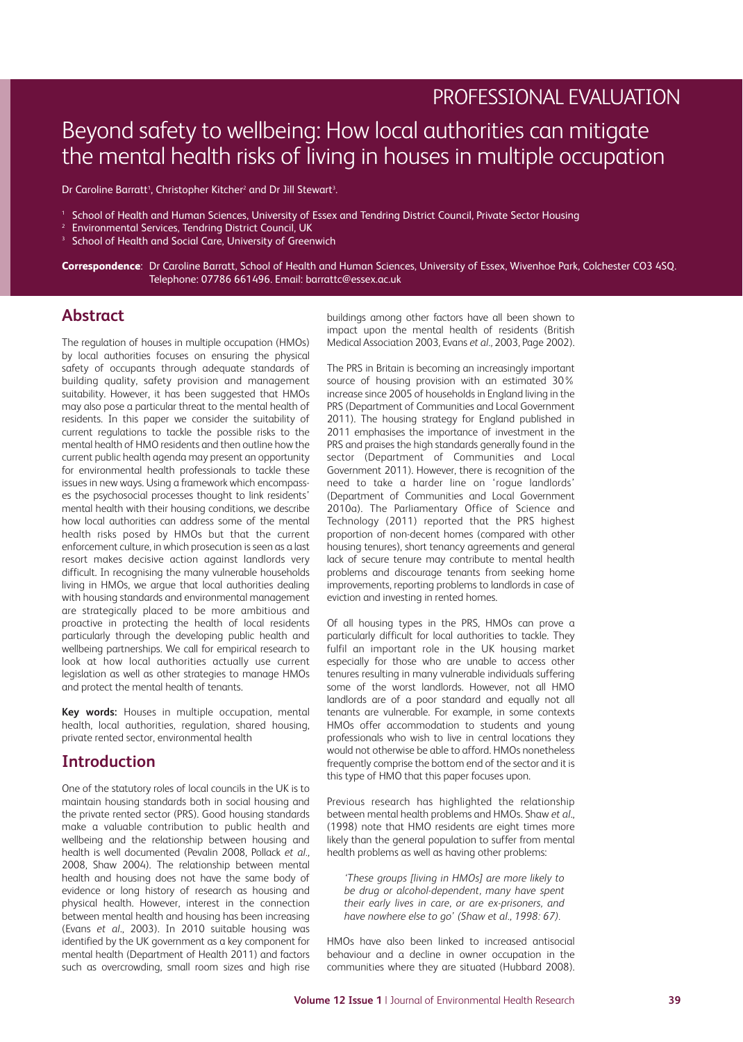# PROFESSIONAL EVALUATION

# Beyond safety to wellbeing: How local authorities can mitigate the mental health risks of living in houses in multiple occupation

Dr Caroline Barratt<sup>1</sup>, Christopher Kitcher<sup>2</sup> and Dr Jill Stewart<sup>3</sup>.

- <sup>1</sup> School of Health and Human Sciences, University of Essex and Tendring District Council, Private Sector Housing
- <sup>2</sup> Environmental Services, Tendring District Council, UK
- <sup>3</sup> School of Health and Social Care, University of Greenwich

**Correspondence**: Dr Caroline Barratt, School of Health and Human Sciences, University of Essex, Wivenhoe Park, Colchester CO3 4SQ. Telephone: 07786 661496. Email: barrattc@essex.ac.uk

# **Abstract**

The regulation of houses in multiple occupation (HMOs) by local authorities focuses on ensuring the physical safety of occupants through adequate standards of building quality, safety provision and management suitability. However, it has been suggested that HMOs may also pose a particular threat to the mental health of residents. In this paper we consider the suitability of current regulations to tackle the possible risks to the mental health of HMO residents and then outline how the current public health agenda may present an opportunity for environmental health professionals to tackle these issues in new ways. Using a framework which encompasses the psychosocial processes thought to link residents' mental health with their housing conditions, we describe how local authorities can address some of the mental health risks posed by HMOs but that the current enforcement culture, in which prosecution is seen as a last resort makes decisive action against landlords very difficult. In recognising the many vulnerable households living in HMOs, we argue that local authorities dealing with housing standards and environmental management are strategically placed to be more ambitious and proactive in protecting the health of local residents particularly through the developing public health and wellbeing partnerships. We call for empirical research to look at how local authorities actually use current legislation as well as other strategies to manage HMOs and protect the mental health of tenants.

**Key words:** Houses in multiple occupation, mental health, local authorities, regulation, shared housing, private rented sector, environmental health

### **Introduction**

One of the statutory roles of local councils in the UK is to maintain housing standards both in social housing and the private rented sector (PRS). Good housing standards make a valuable contribution to public health and wellbeing and the relationship between housing and health is well documented (Pevalin 2008, Pollack *et al.,* 2008, Shaw 2004). The relationship between mental health and housing does not have the same body of evidence or long history of research as housing and physical health. However, interest in the connection between mental health and housing has been increasing (Evans *et al*., 2003). In 2010 suitable housing was identified by the UK government as a key component for mental health (Department of Health 2011) and factors such as overcrowding, small room sizes and high rise buildings among other factors have all been shown to impact upon the mental health of residents (British Medical Association 2003, Evans *et al.,* 2003, Page 2002).

The PRS in Britain is becoming an increasingly important source of housing provision with an estimated 30% increase since 2005 of households in England living in the PRS (Department of Communities and Local Government 2011). The housing strategy for England published in 2011 emphasises the importance of investment in the PRS and praises the high standards generally found in the sector (Department of Communities and Local Government 2011). However, there is recognition of the need to take a harder line on 'rogue landlords' (Department of Communities and Local Government 2010a). The Parliamentary Office of Science and Technology (2011) reported that the PRS highest proportion of non-decent homes (compared with other housing tenures), short tenancy agreements and general lack of secure tenure may contribute to mental health problems and discourage tenants from seeking home improvements, reporting problems to landlords in case of eviction and investing in rented homes.

Of all housing types in the PRS, HMOs can prove a particularly difficult for local authorities to tackle. They fulfil an important role in the UK housing market especially for those who are unable to access other tenures resulting in many vulnerable individuals suffering some of the worst landlords. However, not all HMO landlords are of a poor standard and equally not all tenants are vulnerable. For example, in some contexts HMOs offer accommodation to students and young professionals who wish to live in central locations they would not otherwise be able to afford. HMOs nonetheless frequently comprise the bottom end of the sector and it is this type of HMO that this paper focuses upon.

Previous research has highlighted the relationship between mental health problems and HMOs. Shaw *et al*., (1998) note that HMO residents are eight times more likely than the general population to suffer from mental health problems as well as having other problems:

*'These groups [living in HMOs] are more likely to be drug or alcohol-dependent, many have spent their early lives in care, or are ex-prisoners, and have nowhere else to go' (Shaw et al., 1998: 67).*

HMOs have also been linked to increased antisocial behaviour and a decline in owner occupation in the communities where they are situated (Hubbard 2008).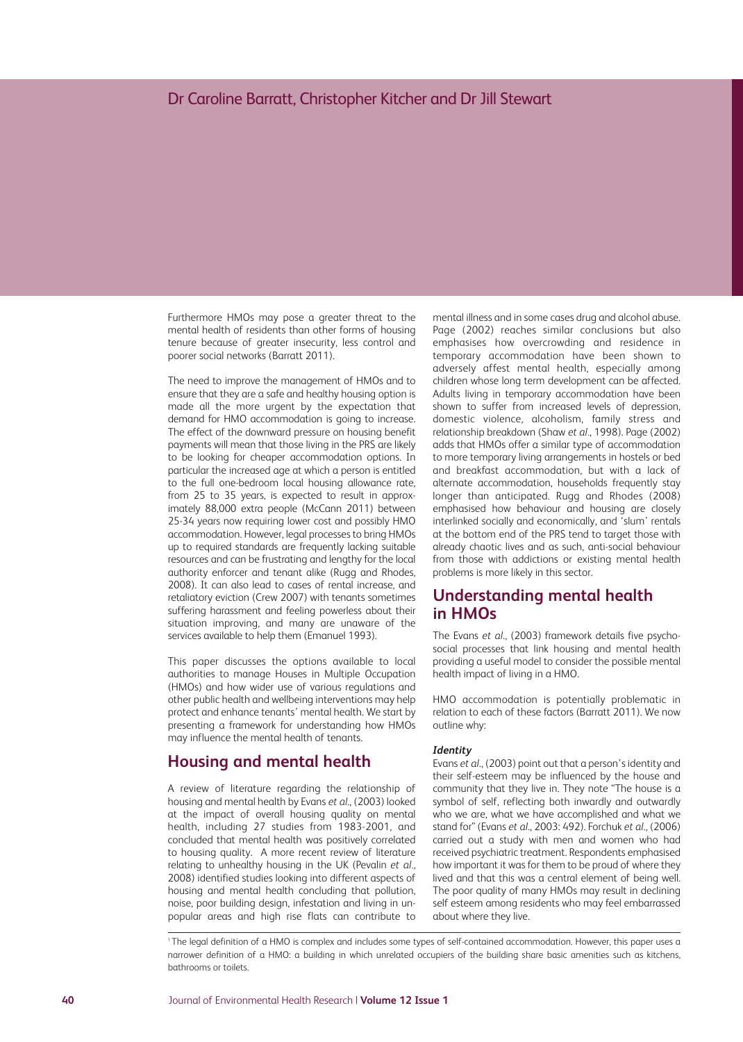Furthermore HMOs may pose a greater threat to the mental health of residents than other forms of housing tenure because of greater insecurity, less control and poorer social networks (Barratt 2011).

The need to improve the management of HMOs and to ensure that they are a safe and healthy housing option is made all the more urgent by the expectation that demand for HMO accommodation is going to increase. The effect of the downward pressure on housing benefit payments will mean that those living in the PRS are likely to be looking for cheaper accommodation options. In particular the increased age at which a person is entitled to the full one-bedroom local housing allowance rate, from 25 to 35 years, is expected to result in approximately 88,000 extra people (McCann 2011) between 25-34 years now requiring lower cost and possibly HMO accommodation. However, legal processes to bring HMOs up to required standards are frequently lacking suitable resources and can be frustrating and lengthy for the local authority enforcer and tenant alike (Rugg and Rhodes, 2008). It can also lead to cases of rental increase, and retaliatory eviction (Crew 2007) with tenants sometimes suffering harassment and feeling powerless about their situation improving, and many are unaware of the services available to help them (Emanuel 1993).

This paper discusses the options available to local authorities to manage Houses in Multiple Occupation (HMOs) and how wider use of various regulations and other public health and wellbeing interventions may help protect and enhance tenants' mental health. We start by presenting a framework for understanding how HMOs may influence the mental health of tenants.

### **Housing and mental health**

A review of literature regarding the relationship of housing and mental health by Evans *et al*., (2003) looked at the impact of overall housing quality on mental health, including 27 studies from 1983-2001, and concluded that mental health was positively correlated to housing quality. A more recent review of literature relating to unhealthy housing in the UK (Pevalin *et al.,* 2008) identified studies looking into different aspects of housing and mental health concluding that pollution, noise, poor building design, infestation and living in unpopular areas and high rise flats can contribute to

mental illness and in some cases drug and alcohol abuse. Page (2002) reaches similar conclusions but also emphasises how overcrowding and residence in temporary accommodation have been shown to adversely affest mental health, especially among children whose long term development can be affected. Adults living in temporary accommodation have been shown to suffer from increased levels of depression, domestic violence, alcoholism, family stress and relationship breakdown (Shaw *et al.*, 1998). Page (2002) adds that HMOs offer a similar type of accommodation to more temporary living arrangements in hostels or bed and breakfast accommodation, but with a lack of alternate accommodation, households frequently stay longer than anticipated. Rugg and Rhodes (2008) emphasised how behaviour and housing are closely interlinked socially and economically, and 'slum' rentals at the bottom end of the PRS tend to target those with already chaotic lives and as such, anti-social behaviour from those with addictions or existing mental health problems is more likely in this sector.

# **Understanding mental health in HMOs**

The Evans *et al*., (2003) framework details five psychosocial processes that link housing and mental health providing a useful model to consider the possible mental health impact of living in a HMO.

HMO accommodation is potentially problematic in relation to each of these factors (Barratt 2011). We now outline why:

#### *Identity*

Evans *et al*., (2003) point out that a person's identity and their self-esteem may be influenced by the house and community that they live in. They note "The house is a symbol of self, reflecting both inwardly and outwardly who we are, what we have accomplished and what we stand for" (Evans *et al*., 2003: 492). Forchuk *et al*., (2006) carried out a study with men and women who had received psychiatric treatment. Respondents emphasised how important it was for them to be proud of where they lived and that this was a central element of being well. The poor quality of many HMOs may result in declining self esteem among residents who may feel embarrassed about where they live.

<sup>1</sup> The legal definition of a HMO is complex and includes some types of self-contained accommodation. However, this paper uses a narrower definition of a HMO: a building in which unrelated occupiers of the building share basic amenities such as kitchens, bathrooms or toilets.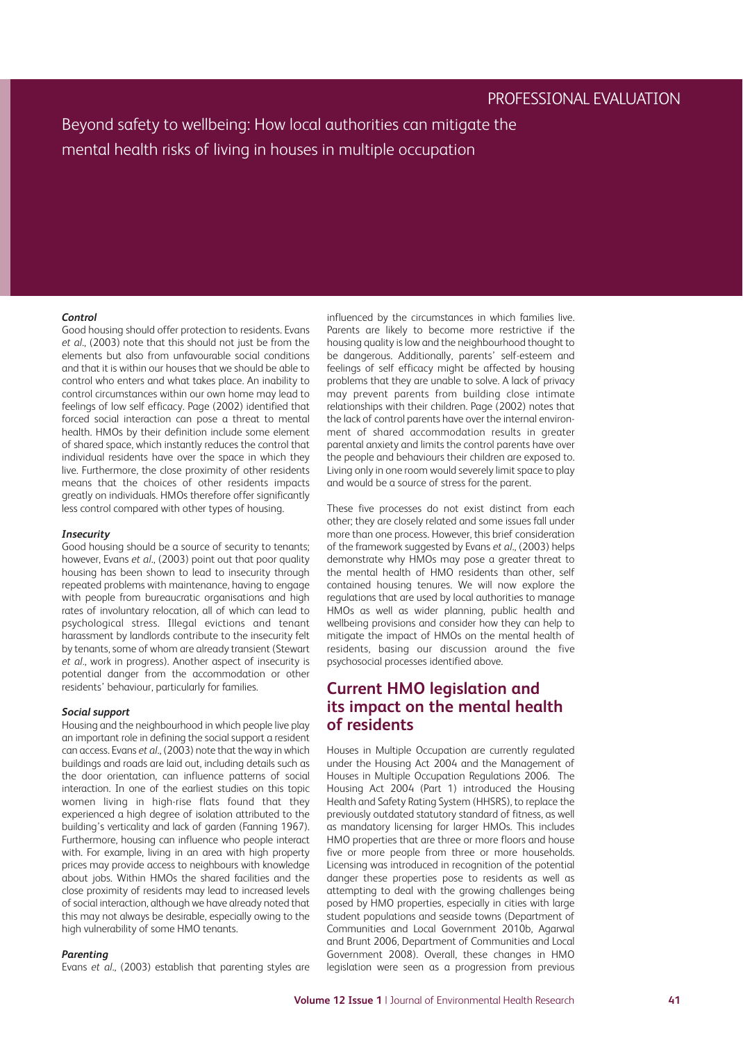#### *Control*

Good housing should offer protection to residents. Evans *et al*., (2003) note that this should not just be from the elements but also from unfavourable social conditions and that it is within our houses that we should be able to control who enters and what takes place. An inability to control circumstances within our own home may lead to feelings of low self efficacy. Page (2002) identified that forced social interaction can pose a threat to mental health. HMOs by their definition include some element of shared space, which instantly reduces the control that individual residents have over the space in which they live. Furthermore, the close proximity of other residents means that the choices of other residents impacts greatly on individuals. HMOs therefore offer significantly less control compared with other types of housing.

#### *Insecurity*

Good housing should be a source of security to tenants; however, Evans *et al*., (2003) point out that poor quality housing has been shown to lead to insecurity through repeated problems with maintenance, having to engage with people from bureaucratic organisations and high rates of involuntary relocation, all of which can lead to psychological stress. Illegal evictions and tenant harassment by landlords contribute to the insecurity felt by tenants, some of whom are already transient (Stewart *et al.*, work in progress). Another aspect of insecurity is potential danger from the accommodation or other residents' behaviour, particularly for families.

#### *Social support*

Housing and the neighbourhood in which people live play an important role in defining the social support a resident can access. Evans *et al*., (2003) note that the way in which buildings and roads are laid out, including details such as the door orientation, can influence patterns of social interaction. In one of the earliest studies on this topic women living in high-rise flats found that they experienced a high degree of isolation attributed to the building's verticality and lack of garden (Fanning 1967). Furthermore, housing can influence who people interact with. For example, living in an area with high property prices may provide access to neighbours with knowledge about jobs. Within HMOs the shared facilities and the close proximity of residents may lead to increased levels of social interaction, although we have already noted that this may not always be desirable, especially owing to the high vulnerability of some HMO tenants.

#### *Parenting*

Evans *et al*., (2003) establish that parenting styles are

influenced by the circumstances in which families live. Parents are likely to become more restrictive if the housing quality is low and the neighbourhood thought to be dangerous. Additionally, parents' self-esteem and feelings of self efficacy might be affected by housing problems that they are unable to solve. A lack of privacy may prevent parents from building close intimate relationships with their children. Page (2002) notes that the lack of control parents have over the internal environment of shared accommodation results in greater parental anxiety and limits the control parents have over the people and behaviours their children are exposed to. Living only in one room would severely limit space to play and would be a source of stress for the parent.

These five processes do not exist distinct from each other; they are closely related and some issues fall under more than one process. However, this brief consideration of the framework suggested by Evans *et al*., (2003) helps demonstrate why HMOs may pose a greater threat to the mental health of HMO residents than other, self contained housing tenures. We will now explore the regulations that are used by local authorities to manage HMOs as well as wider planning, public health and wellbeing provisions and consider how they can help to mitigate the impact of HMOs on the mental health of residents, basing our discussion around the five psychosocial processes identified above.

# **Current HMO legislation and its impact on the mental health of residents**

Houses in Multiple Occupation are currently regulated under the Housing Act 2004 and the Management of Houses in Multiple Occupation Regulations 2006. The Housing Act 2004 (Part 1) introduced the Housing Health and Safety Rating System (HHSRS), to replace the previously outdated statutory standard of fitness, as well as mandatory licensing for larger HMOs. This includes HMO properties that are three or more floors and house five or more people from three or more households. Licensing was introduced in recognition of the potential danger these properties pose to residents as well as attempting to deal with the growing challenges being posed by HMO properties, especially in cities with large student populations and seaside towns (Department of Communities and Local Government 2010b, Agarwal and Brunt 2006, Department of Communities and Local Government 2008). Overall, these changes in HMO legislation were seen as a progression from previous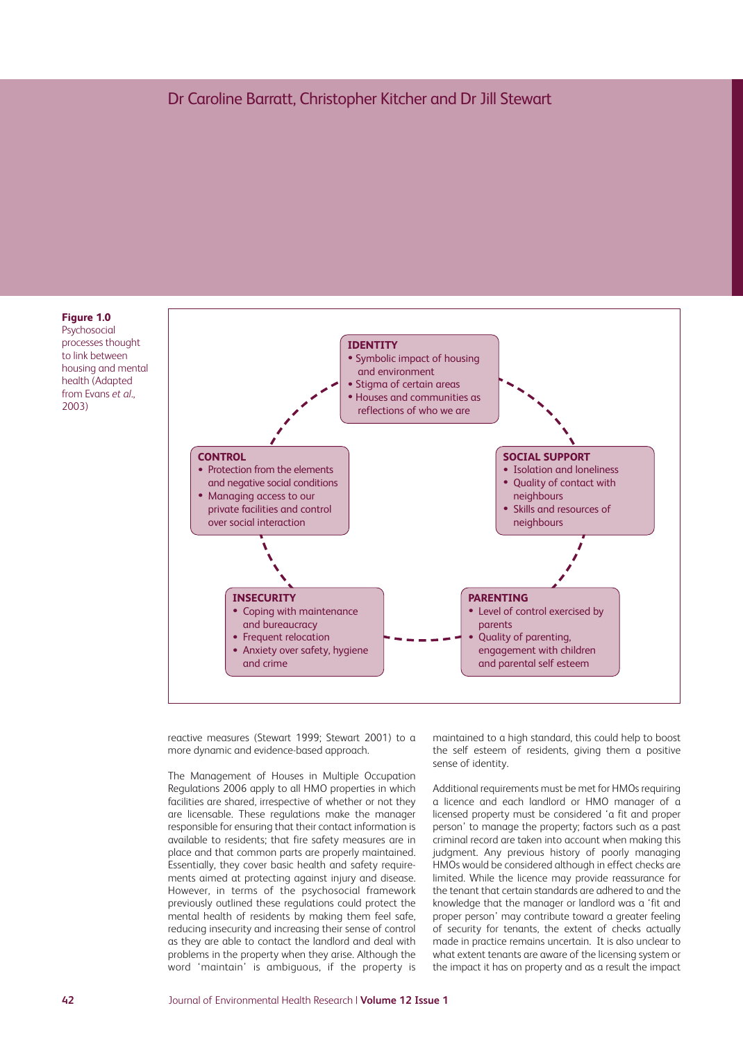

reactive measures (Stewart 1999; Stewart 2001) to a more dynamic and evidence-based approach.

The Management of Houses in Multiple Occupation Regulations 2006 apply to all HMO properties in which facilities are shared, irrespective of whether or not they are licensable. These regulations make the manager responsible for ensuring that their contact information is available to residents; that fire safety measures are in place and that common parts are properly maintained. Essentially, they cover basic health and safety requirements aimed at protecting against injury and disease. However, in terms of the psychosocial framework previously outlined these regulations could protect the mental health of residents by making them feel safe, reducing insecurity and increasing their sense of control as they are able to contact the landlord and deal with problems in the property when they arise. Although the word 'maintain' is ambiguous, if the property is

maintained to a high standard, this could help to boost the self esteem of residents, giving them a positive sense of identity.

Additional requirements must be met for HMOs requiring a licence and each landlord or HMO manager of a licensed property must be considered 'a fit and proper person' to manage the property; factors such as a past criminal record are taken into account when making this judgment. Any previous history of poorly managing HMOs would be considered although in effect checks are limited. While the licence may provide reassurance for the tenant that certain standards are adhered to and the knowledge that the manager or landlord was a 'fit and proper person' may contribute toward a greater feeling of security for tenants, the extent of checks actually made in practice remains uncertain. It is also unclear to what extent tenants are aware of the licensing system or the impact it has on property and as a result the impact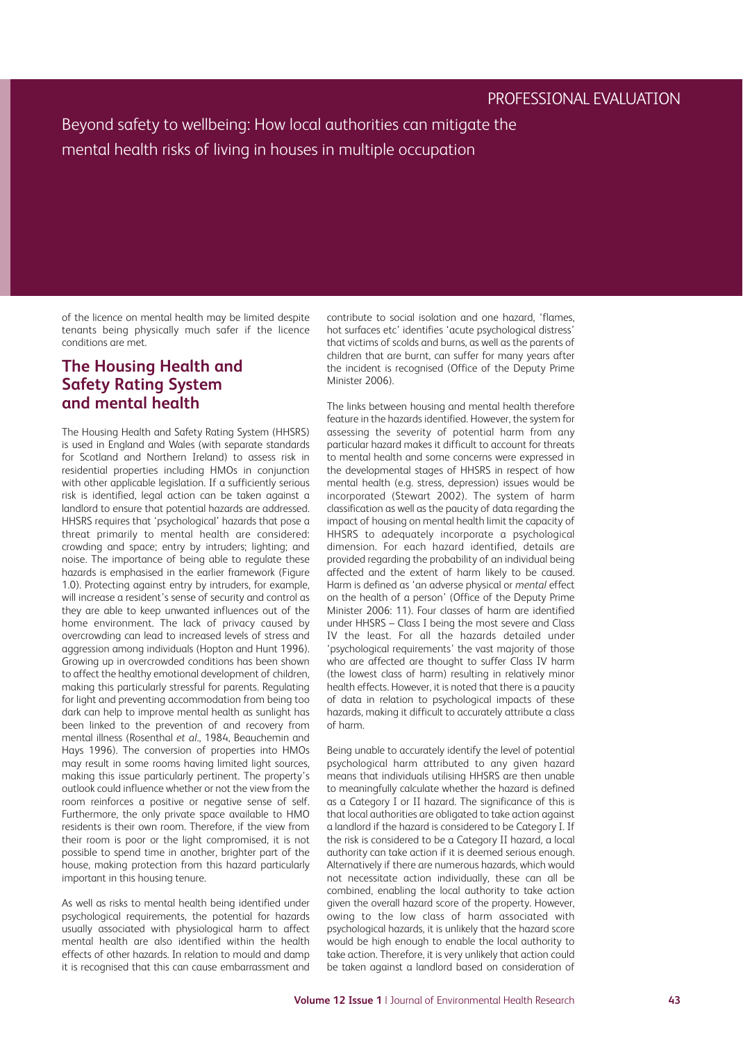of the licence on mental health may be limited despite tenants being physically much safer if the licence conditions are met.

# **The Housing Health and Safety Rating System and mental health**

The Housing Health and Safety Rating System (HHSRS) is used in England and Wales (with separate standards for Scotland and Northern Ireland) to assess risk in residential properties including HMOs in conjunction with other applicable legislation. If a sufficiently serious risk is identified, legal action can be taken against a landlord to ensure that potential hazards are addressed. HHSRS requires that 'psychological' hazards that pose a threat primarily to mental health are considered: crowding and space; entry by intruders; lighting; and noise. The importance of being able to regulate these hazards is emphasised in the earlier framework (Figure 1.0). Protecting against entry by intruders, for example, will increase a resident's sense of security and control as they are able to keep unwanted influences out of the home environment. The lack of privacy caused by overcrowding can lead to increased levels of stress and aggression among individuals (Hopton and Hunt 1996). Growing up in overcrowded conditions has been shown to affect the healthy emotional development of children, making this particularly stressful for parents. Regulating for light and preventing accommodation from being too dark can help to improve mental health as sunlight has been linked to the prevention of and recovery from mental illness (Rosenthal *et al*., 1984, Beauchemin and Hays 1996). The conversion of properties into HMOs may result in some rooms having limited light sources, making this issue particularly pertinent. The property's outlook could influence whether or not the view from the room reinforces a positive or negative sense of self. Furthermore, the only private space available to HMO residents is their own room. Therefore, if the view from their room is poor or the light compromised, it is not possible to spend time in another, brighter part of the house, making protection from this hazard particularly important in this housing tenure.

As well as risks to mental health being identified under psychological requirements, the potential for hazards usually associated with physiological harm to affect mental health are also identified within the health effects of other hazards. In relation to mould and damp it is recognised that this can cause embarrassment and contribute to social isolation and one hazard, 'flames, hot surfaces etc' identifies 'acute psychological distress' that victims of scolds and burns, as well as the parents of children that are burnt, can suffer for many years after the incident is recognised (Office of the Deputy Prime Minister 2006).

The links between housing and mental health therefore feature in the hazards identified. However, the system for assessing the severity of potential harm from any particular hazard makes it difficult to account for threats to mental health and some concerns were expressed in the developmental stages of HHSRS in respect of how mental health (e.g. stress, depression) issues would be incorporated (Stewart 2002). The system of harm classification as well as the paucity of data regarding the impact of housing on mental health limit the capacity of HHSRS to adequately incorporate a psychological dimension. For each hazard identified, details are provided regarding the probability of an individual being affected and the extent of harm likely to be caused. Harm is defined as 'an adverse physical or *mental* effect on the health of a person' (Office of the Deputy Prime Minister 2006: 11). Four classes of harm are identified under HHSRS – Class I being the most severe and Class IV the least. For all the hazards detailed under 'psychological requirements' the vast majority of those who are affected are thought to suffer Class IV harm (the lowest class of harm) resulting in relatively minor health effects. However, it is noted that there is a paucity of data in relation to psychological impacts of these hazards, making it difficult to accurately attribute a class of harm.

Being unable to accurately identify the level of potential psychological harm attributed to any given hazard means that individuals utilising HHSRS are then unable to meaningfully calculate whether the hazard is defined as a Category I or II hazard. The significance of this is that local authorities are obligated to take action against a landlord if the hazard is considered to be Category I. If the risk is considered to be a Category II hazard, a local authority can take action if it is deemed serious enough. Alternatively if there are numerous hazards, which would not necessitate action individually, these can all be combined, enabling the local authority to take action given the overall hazard score of the property. However, owing to the low class of harm associated with psychological hazards, it is unlikely that the hazard score would be high enough to enable the local authority to take action. Therefore, it is very unlikely that action could be taken against a landlord based on consideration of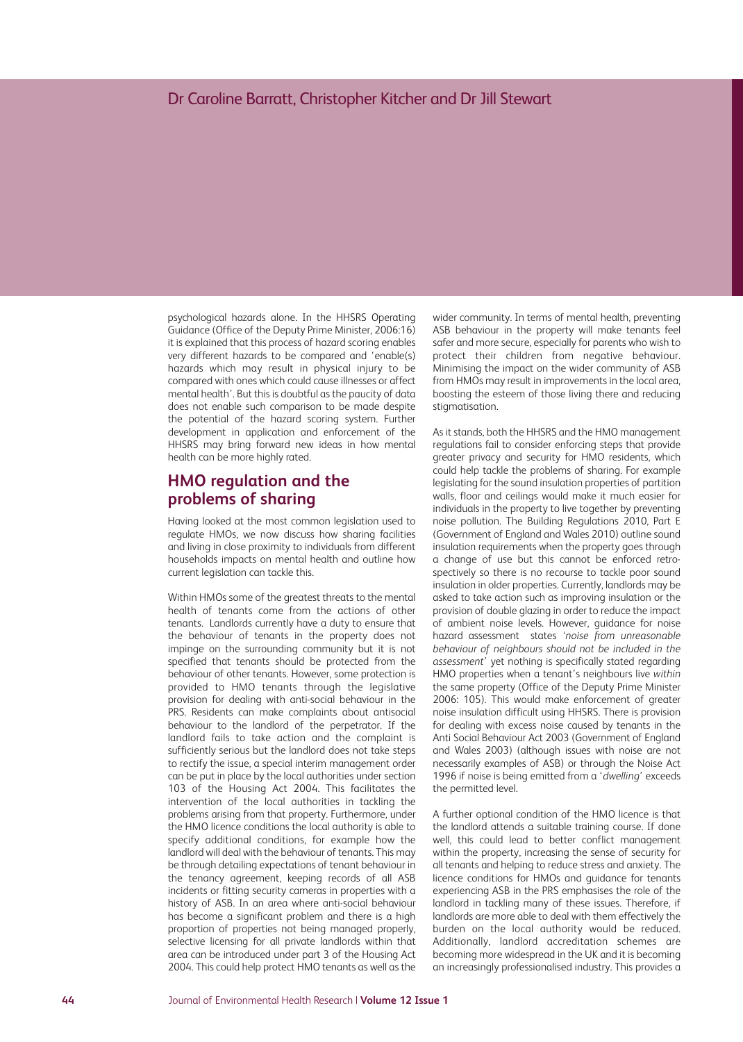psychological hazards alone. In the HHSRS Operating Guidance (Office of the Deputy Prime Minister, 2006:16) it is explained that this process of hazard scoring enables very different hazards to be compared and 'enable(s) hazards which may result in physical injury to be compared with ones which could cause illnesses or affect mental health'. But this is doubtful as the paucity of data does not enable such comparison to be made despite the potential of the hazard scoring system. Further development in application and enforcement of the HHSRS may bring forward new ideas in how mental health can be more highly rated.

# **HMO regulation and the problems of sharing**

Having looked at the most common legislation used to regulate HMOs, we now discuss how sharing facilities and living in close proximity to individuals from different households impacts on mental health and outline how current legislation can tackle this.

Within HMOs some of the greatest threats to the mental health of tenants come from the actions of other tenants. Landlords currently have a duty to ensure that the behaviour of tenants in the property does not impinge on the surrounding community but it is not specified that tenants should be protected from the behaviour of other tenants. However, some protection is provided to HMO tenants through the legislative provision for dealing with anti-social behaviour in the PRS. Residents can make complaints about antisocial behaviour to the landlord of the perpetrator. If the landlord fails to take action and the complaint is sufficiently serious but the landlord does not take steps to rectify the issue, a special interim management order can be put in place by the local authorities under section 103 of the Housing Act 2004. This facilitates the intervention of the local authorities in tackling the problems arising from that property. Furthermore, under the HMO licence conditions the local authority is able to specify additional conditions, for example how the landlord will deal with the behaviour of tenants. This may be through detailing expectations of tenant behaviour in the tenancy agreement, keeping records of all ASB incidents or fitting security cameras in properties with a history of ASB. In an area where anti-social behaviour has become a significant problem and there is a high proportion of properties not being managed properly, selective licensing for all private landlords within that area can be introduced under part 3 of the Housing Act 2004. This could help protect HMO tenants as well as the

wider community. In terms of mental health, preventing ASB behaviour in the property will make tenants feel safer and more secure, especially for parents who wish to protect their children from negative behaviour. Minimising the impact on the wider community of ASB from HMOs may result in improvements in the local area, boosting the esteem of those living there and reducing stigmatisation.

As it stands, both the HHSRS and the HMO management regulations fail to consider enforcing steps that provide greater privacy and security for HMO residents, which could help tackle the problems of sharing. For example legislating for the sound insulation properties of partition walls, floor and ceilings would make it much easier for individuals in the property to live together by preventing noise pollution. The Building Regulations 2010, Part E (Government of England and Wales 2010) outline sound insulation requirements when the property goes through a change of use but this cannot be enforced retrospectively so there is no recourse to tackle poor sound insulation in older properties. Currently, landlords may be asked to take action such as improving insulation or the provision of double glazing in order to reduce the impact of ambient noise levels. However, guidance for noise hazard assessment states *'noise from unreasonable behaviour of neighbours should not be included in the assessment'* yet nothing is specifically stated regarding HMO properties when a tenant's neighbours live *within* the same property (Office of the Deputy Prime Minister 2006: 105). This would make enforcement of greater noise insulation difficult using HHSRS. There is provision for dealing with excess noise caused by tenants in the Anti Social Behaviour Act 2003 (Government of England and Wales 2003) (although issues with noise are not necessarily examples of ASB) or through the Noise Act 1996 if noise is being emitted from a '*dwelling*' exceeds the permitted level.

A further optional condition of the HMO licence is that the landlord attends a suitable training course. If done well, this could lead to better conflict management within the property, increasing the sense of security for all tenants and helping to reduce stress and anxiety. The licence conditions for HMOs and guidance for tenants experiencing ASB in the PRS emphasises the role of the landlord in tackling many of these issues. Therefore, if landlords are more able to deal with them effectively the burden on the local authority would be reduced. Additionally, landlord accreditation schemes are becoming more widespread in the UK and it is becoming an increasingly professionalised industry. This provides a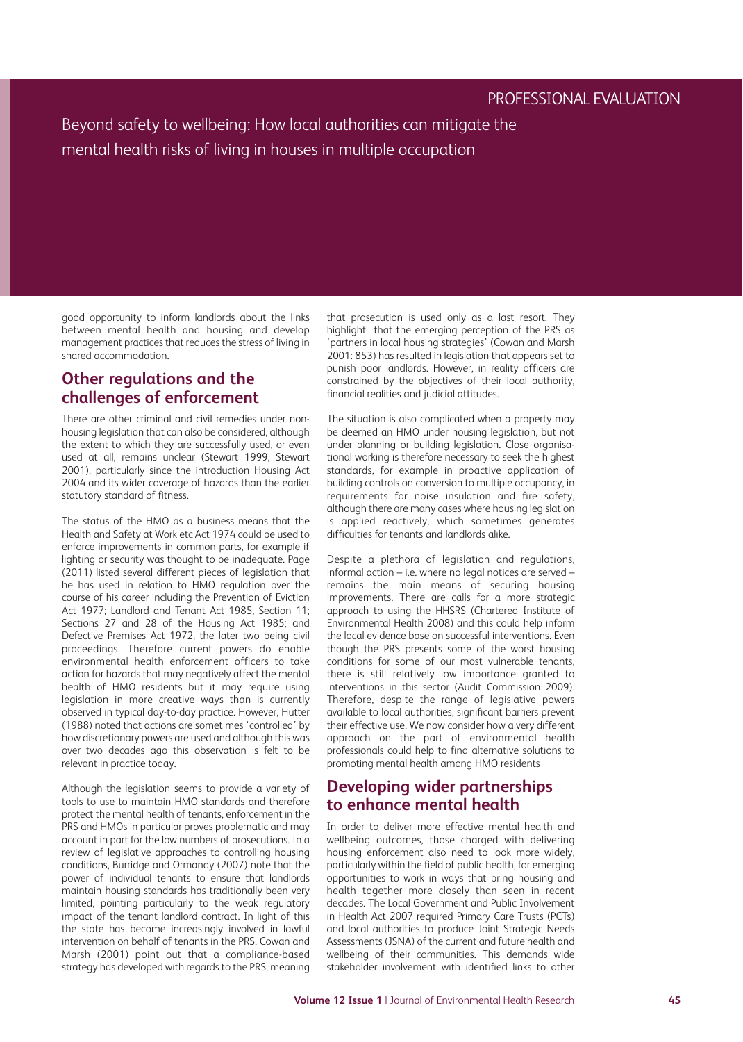good opportunity to inform landlords about the links between mental health and housing and develop management practices that reduces the stress of living in shared accommodation.

# **Other regulations and the challenges of enforcement**

There are other criminal and civil remedies under nonhousing legislation that can also be considered, although the extent to which they are successfully used, or even used at all, remains unclear (Stewart 1999, Stewart 2001), particularly since the introduction Housing Act 2004 and its wider coverage of hazards than the earlier statutory standard of fitness.

The status of the HMO as a business means that the Health and Safety at Work etc Act 1974 could be used to enforce improvements in common parts, for example if lighting or security was thought to be inadequate. Page (2011) listed several different pieces of legislation that he has used in relation to HMO regulation over the course of his career including the Prevention of Eviction Act 1977; Landlord and Tenant Act 1985, Section 11; Sections 27 and 28 of the Housing Act 1985; and Defective Premises Act 1972, the later two being civil proceedings. Therefore current powers do enable environmental health enforcement officers to take action for hazards that may negatively affect the mental health of HMO residents but it may require using legislation in more creative ways than is currently observed in typical day-to-day practice. However, Hutter (1988) noted that actions are sometimes 'controlled' by how discretionary powers are used and although this was over two decades ago this observation is felt to be relevant in practice today.

Although the legislation seems to provide a variety of tools to use to maintain HMO standards and therefore protect the mental health of tenants, enforcement in the PRS and HMOs in particular proves problematic and may account in part for the low numbers of prosecutions. In a review of legislative approaches to controlling housing conditions, Burridge and Ormandy (2007) note that the power of individual tenants to ensure that landlords maintain housing standards has traditionally been very limited, pointing particularly to the weak regulatory impact of the tenant landlord contract. In light of this the state has become increasingly involved in lawful intervention on behalf of tenants in the PRS. Cowan and Marsh (2001) point out that a compliance-based strategy has developed with regards to the PRS, meaning that prosecution is used only as a last resort. They highlight that the emerging perception of the PRS as 'partners in local housing strategies' (Cowan and Marsh 2001: 853) has resulted in legislation that appears set to punish poor landlords. However, in reality officers are constrained by the objectives of their local authority, financial realities and judicial attitudes.

The situation is also complicated when a property may be deemed an HMO under housing legislation, but not under planning or building legislation. Close organisational working is therefore necessary to seek the highest standards, for example in proactive application of building controls on conversion to multiple occupancy, in requirements for noise insulation and fire safety, although there are many cases where housing legislation is applied reactively, which sometimes generates difficulties for tenants and landlords alike.

Despite a plethora of legislation and regulations, informal action – i.e. where no legal notices are served – remains the main means of securing housing improvements. There are calls for a more strategic approach to using the HHSRS (Chartered Institute of Environmental Health 2008) and this could help inform the local evidence base on successful interventions. Even though the PRS presents some of the worst housing conditions for some of our most vulnerable tenants, there is still relatively low importance granted to interventions in this sector (Audit Commission 2009). Therefore, despite the range of legislative powers available to local authorities, significant barriers prevent their effective use. We now consider how a very different approach on the part of environmental health professionals could help to find alternative solutions to promoting mental health among HMO residents

# **Developing wider partnerships to enhance mental health**

In order to deliver more effective mental health and wellbeing outcomes, those charged with delivering housing enforcement also need to look more widely, particularly within the field of public health, for emerging opportunities to work in ways that bring housing and health together more closely than seen in recent decades. The Local Government and Public Involvement in Health Act 2007 required Primary Care Trusts (PCTs) and local authorities to produce Joint Strategic Needs Assessments (JSNA) of the current and future health and wellbeing of their communities. This demands wide stakeholder involvement with identified links to other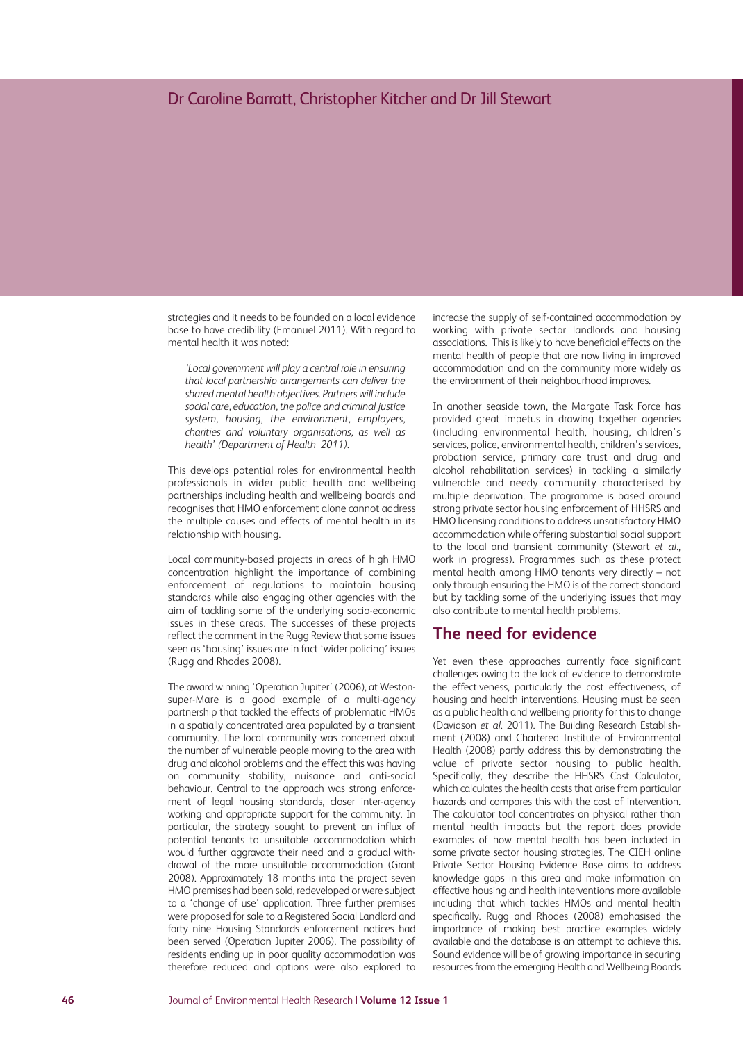strategies and it needs to be founded on a local evidence base to have credibility (Emanuel 2011). With regard to mental health it was noted:

*'Local government will play a central role in ensuring that local partnership arrangements can deliver the shared mental health objectives. Partnerswill include social care, education, the police and criminal justice system, housing, the environment, employers, charities and voluntary organisations, as well as health' (Department of Health 2011).*

This develops potential roles for environmental health professionals in wider public health and wellbeing partnerships including health and wellbeing boards and recognises that HMO enforcement alone cannot address the multiple causes and effects of mental health in its relationship with housing.

Local community-based projects in areas of high HMO concentration highlight the importance of combining enforcement of regulations to maintain housing standards while also engaging other agencies with the aim of tackling some of the underlying socio-economic issues in these areas. The successes of these projects reflect the comment in the Rugg Review that some issues seen as 'housing' issues are in fact 'wider policing' issues (Rugg and Rhodes 2008).

The award winning 'Operation Jupiter' (2006), at Westonsuper-Mare is a good example of a multi-agency partnership that tackled the effects of problematic HMOs in a spatially concentrated area populated by a transient community. The local community was concerned about the number of vulnerable people moving to the area with drug and alcohol problems and the effect this was having on community stability, nuisance and anti-social behaviour. Central to the approach was strong enforcement of legal housing standards, closer inter-agency working and appropriate support for the community. In particular, the strategy sought to prevent an influx of potential tenants to unsuitable accommodation which would further aggravate their need and a gradual withdrawal of the more unsuitable accommodation (Grant 2008). Approximately 18 months into the project seven HMO premises had been sold, redeveloped or were subject to a 'change of use' application. Three further premises were proposed for sale to a Registered Social Landlord and forty nine Housing Standards enforcement notices had been served (Operation Jupiter 2006). The possibility of residents ending up in poor quality accommodation was therefore reduced and options were also explored to

increase the supply of self-contained accommodation by working with private sector landlords and housing associations. This is likely to have beneficial effects on the mental health of people that are now living in improved accommodation and on the community more widely as the environment of their neighbourhood improves.

In another seaside town, the Margate Task Force has provided great impetus in drawing together agencies (including environmental health, housing, children's services, police, environmental health, children's services, probation service, primary care trust and drug and alcohol rehabilitation services) in tackling a similarly vulnerable and needy community characterised by multiple deprivation. The programme is based around strong private sector housing enforcement of HHSRS and HMO licensing conditions to address unsatisfactory HMO accommodation while offering substantial social support to the local and transient community (Stewart *et al.*, work in progress). Programmes such as these protect mental health among HMO tenants very directly – not only through ensuring the HMO is of the correct standard but by tackling some of the underlying issues that may also contribute to mental health problems.

### **The need for evidence**

Yet even these approaches currently face significant challenges owing to the lack of evidence to demonstrate the effectiveness, particularly the cost effectiveness, of housing and health interventions. Housing must be seen as a public health and wellbeing priority for this to change (Davidson *et al*. 2011). The Building Research Establishment (2008) and Chartered Institute of Environmental Health (2008) partly address this by demonstrating the value of private sector housing to public health. Specifically, they describe the HHSRS Cost Calculator, which calculates the health costs that arise from particular hazards and compares this with the cost of intervention. The calculator tool concentrates on physical rather than mental health impacts but the report does provide examples of how mental health has been included in some private sector housing strategies. The CIEH online Private Sector Housing Evidence Base aims to address knowledge gaps in this area and make information on effective housing and health interventions more available including that which tackles HMOs and mental health specifically. Rugg and Rhodes (2008) emphasised the importance of making best practice examples widely available and the database is an attempt to achieve this. Sound evidence will be of growing importance in securing resources from the emerging Health and Wellbeing Boards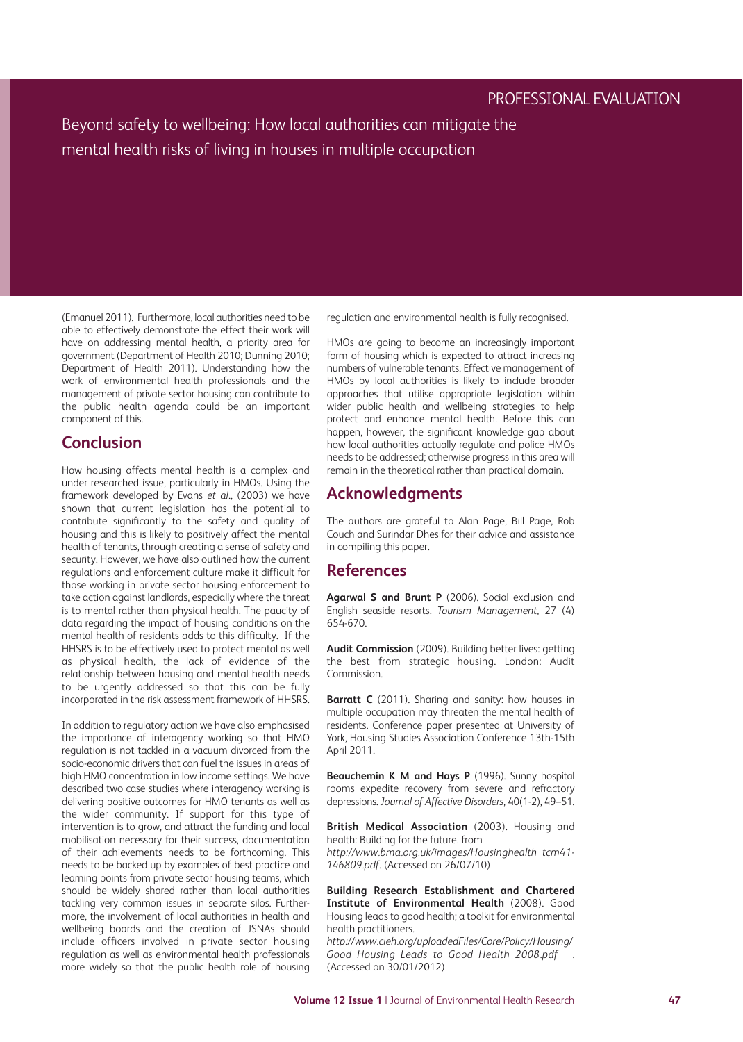(Emanuel 2011). Furthermore, local authorities need to be able to effectively demonstrate the effect their work will have on addressing mental health, a priority area for government (Department of Health 2010; Dunning 2010; Department of Health 2011). Understanding how the work of environmental health professionals and the management of private sector housing can contribute to the public health agenda could be an important component of this.

# **Conclusion**

How housing affects mental health is a complex and under researched issue, particularly in HMOs. Using the framework developed by Evans *et al*., (2003) we have shown that current legislation has the potential to contribute significantly to the safety and quality of housing and this is likely to positively affect the mental health of tenants, through creating a sense of safety and security. However, we have also outlined how the current regulations and enforcement culture make it difficult for those working in private sector housing enforcement to take action against landlords, especially where the threat is to mental rather than physical health. The paucity of data regarding the impact of housing conditions on the mental health of residents adds to this difficulty. If the HHSRS is to be effectively used to protect mental as well as physical health, the lack of evidence of the relationship between housing and mental health needs to be urgently addressed so that this can be fully incorporated in the risk assessment framework of HHSRS.

In addition to regulatory action we have also emphasised the importance of interagency working so that HMO regulation is not tackled in a vacuum divorced from the socio-economic drivers that can fuel the issues in areas of high HMO concentration in low income settings. We have described two case studies where interagency working is delivering positive outcomes for HMO tenants as well as the wider community. If support for this type of intervention is to grow, and attract the funding and local mobilisation necessary for their success, documentation of their achievements needs to be forthcoming. This needs to be backed up by examples of best practice and learning points from private sector housing teams, which should be widely shared rather than local authorities tackling very common issues in separate silos. Furthermore, the involvement of local authorities in health and wellbeing boards and the creation of JSNAs should include officers involved in private sector housing regulation as well as environmental health professionals more widely so that the public health role of housing regulation and environmental health is fully recognised.

HMOs are going to become an increasingly important form of housing which is expected to attract increasing numbers of vulnerable tenants. Effective management of HMOs by local authorities is likely to include broader approaches that utilise appropriate legislation within wider public health and wellbeing strategies to help protect and enhance mental health. Before this can happen, however, the significant knowledge gap about how local authorities actually regulate and police HMOs needs to be addressed; otherwise progress in this area will remain in the theoretical rather than practical domain.

# **Acknowledgments**

The authors are grateful to Alan Page, Bill Page, Rob Couch and Surindar Dhesifor their advice and assistance in compiling this paper.

#### **References**

**Agarwal S and Brunt P** (2006). Social exclusion and English seaside resorts. *Tourism Management*, 27 (4) 654-670.

**Audit Commission** (2009). Building better lives: getting the best from strategic housing. London: Audit Commission.

**Barratt C** (2011). Sharing and sanity: how houses in multiple occupation may threaten the mental health of residents. Conference paper presented at University of York, Housing Studies Association Conference 13th-15th April 2011.

**Beauchemin K M and Hays P** (1996). Sunny hospital rooms expedite recovery from severe and refractory depressions. *Journal of Affective Disorders*, 40(1-2), 49–51.

**British Medical Association** (2003). Housing and health: Building for the future. from

*http://www.bma.org.uk/images/Housinghealth\_tcm41- 146809.pdf*. (Accessed on 26/07/10)

**Building Research Establishment and Chartered Institute of Environmental Health** (2008). Good Housing leads to good health; a toolkit for environmental health practitioners.

*http://www.cieh.org/uploadedFiles/Core/Policy/Housing/ Good\_Housing\_Leads\_to\_Good\_Health\_2008.pdf* . (Accessed on 30/01/2012)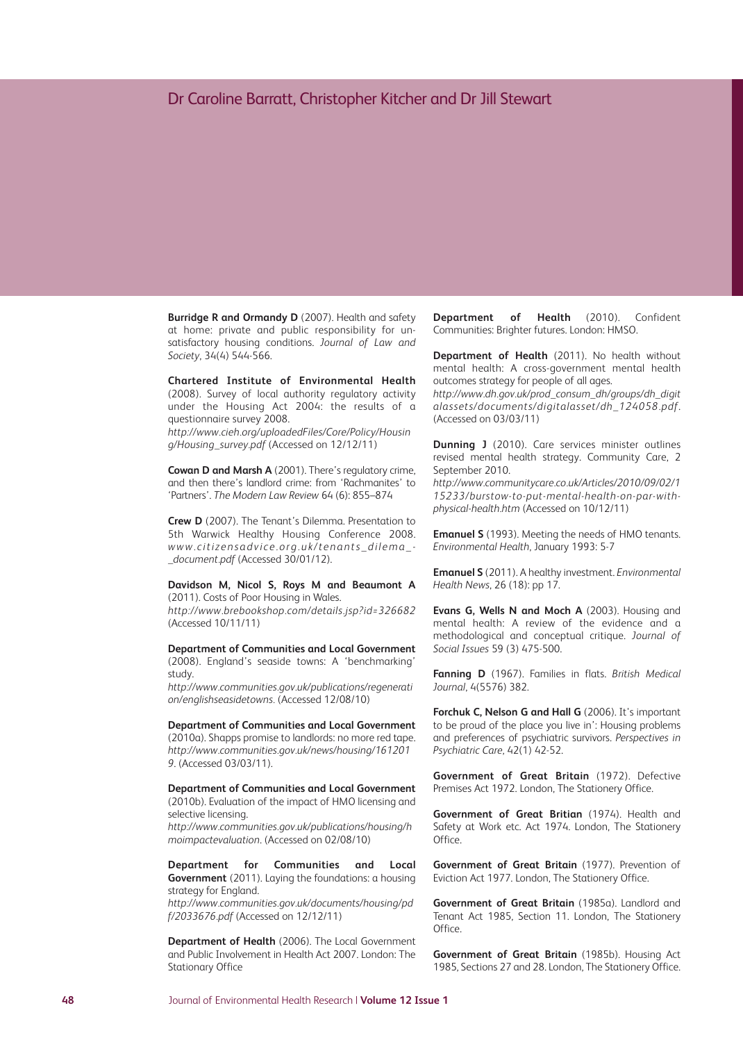**Burridge R and Ormandy D** (2007). Health and safety at home: private and public responsibility for unsatisfactory housing conditions. *Journal of Law and Society*, 34(4) 544-566.

**Chartered Institute of Environmental Health** (2008). Survey of local authority regulatory activity under the Housing Act 2004: the results of a questionnaire survey 2008.

*http://www.cieh.org/uploadedFiles/Core/Policy/Housin g/Housing\_survey.pdf* (Accessed on 12/12/11)

**Cowan D and Marsh A** (2001). There's regulatory crime, and then there's landlord crime: from 'Rachmanites' to 'Partners'. *The Modern Law Review* 64 (6): 855–874

**Crew D** (2007). The Tenant's Dilemma. Presentation to 5th Warwick Healthy Housing Conference 2008. *www. c itizensadv i ce.org.uk /tenants\_di lema\_- \_document.pdf* (Accessed 30/01/12).

#### **Davidson M, Nicol S, Roys M and Beaumont A** (2011). Costs of Poor Housing in Wales.

*http://www.brebookshop.com/details.jsp?id=326682* (Accessed 10/11/11)

**Department of Communities and Local Government** (2008). England's seaside towns: A 'benchmarking' study.

*http://www.communities.gov.uk/publications/regenerati on/englishseasidetowns.* (Accessed 12/08/10)

**Department of Communities and Local Government** (2010a). Shapps promise to landlords: no more red tape. *http://www.communities.gov.uk/news/housing/161201 9*. (Accessed 03/03/11).

**Department of Communities and Local Government** (2010b). Evaluation of the impact of HMO licensing and selective licensing.

*http://www.communities.gov.uk/publications/housing/h moimpactevaluation*. (Accessed on 02/08/10)

**Department for Communities and Local Government** (2011). Laying the foundations: a housing strategy for England.

*http://www.communities.gov.uk/documents/housing/pd f/2033676.pdf* (Accessed on 12/12/11)

**Department of Health** (2006). The Local Government and Public Involvement in Health Act 2007. London: The Stationary Office

**Department of Health** (2010). Confident Communities: Brighter futures. London: HMSO.

**Department of Health** (2011). No health without mental health: A cross-government mental health outcomes strategy for people of all ages.

*http://www.dh.gov.uk/prod\_consum\_dh/groups/dh\_digit alassets/documents/digitalasset/dh\_124058.pdf*. (Accessed on 03/03/11)

**Dunning J** (2010). Care services minister outlines revised mental health strategy. Community Care, 2 September 2010.

*http://www.communitycare.co.uk/Articles/2010/09/02/1 15233/burstow-to-put-mental-health-on-par-withphysical-health.htm* (Accessed on 10/12/11)

**Emanuel S** (1993). Meeting the needs of HMO tenants. *Environmental Health*, January 1993: 5-7

**Emanuel S** (2011). A healthy investment. *Environmental Health News*, 26 (18): pp 17.

**Evans G, Wells N and Moch A** (2003). Housing and mental health: A review of the evidence and a methodological and conceptual critique. *Journal of Social Issues* 59 (3) 475-500.

**Fanning D** (1967). Families in flats. *British Medical Journal*, 4(5576) 382.

**Forchuk C, Nelson G and Hall G** (2006). It's important to be proud of the place you live in': Housing problems and preferences of psychiatric survivors. *Perspectives in Psychiatric Care*, 42(1) 42-52.

**Government of Great Britain** (1972). Defective Premises Act 1972. London, The Stationery Office.

**Government of Great Britian** (1974). Health and Safety at Work etc. Act 1974. London, The Stationery Office.

**Government of Great Britain** (1977). Prevention of Eviction Act 1977. London, The Stationery Office.

**Government of Great Britain** (1985a). Landlord and Tenant Act 1985, Section 11. London, The Stationery Office.

**Government of Great Britain** (1985b). Housing Act 1985, Sections 27 and 28. London, The Stationery Office.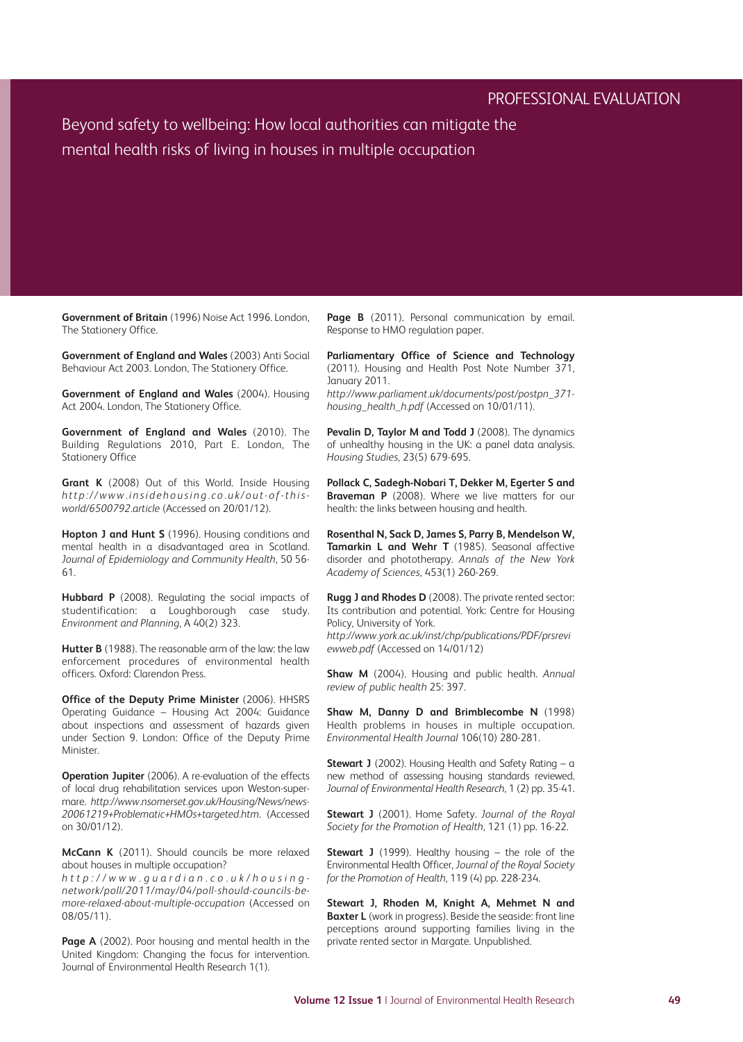## PROFESSIONAL EVALUATION

Beyond safety to wellbeing: How local authorities can mitigate the mental health risks of living in houses in multiple occupation

**Government of Britain** (1996) Noise Act 1996. London, The Stationery Office.

**Government of England and Wales** (2003) Anti Social Behaviour Act 2003. London, The Stationery Office.

**Government of England and Wales** (2004). Housing Act 2004. London, The Stationery Office.

**Government of England and Wales** (2010). The Building Regulations 2010, Part E. London, The Stationery Office

**Grant K** (2008) Out of this World. Inside Housing *http://www. insidehousing. co.uk /out-of-thisworld/6500792.article* (Accessed on 20/01/12).

**Hopton J and Hunt S** (1996). Housing conditions and mental health in a disadvantaged area in Scotland. *Journal of Epidemiology and Community Health*, 50 56- 61.

**Hubbard P** (2008). Regulating the social impacts of studentification: a Loughborough case study. *Environment and Planning*, A 40(2) 323.

**Hutter B** (1988). The reasonable arm of the law: the law enforcement procedures of environmental health officers. Oxford: Clarendon Press.

**Office of the Deputy Prime Minister** (2006). HHSRS Operating Guidance – Housing Act 2004: Guidance about inspections and assessment of hazards given under Section 9. London: Office of the Deputy Prime Minister.

**Operation Jupiter** (2006). A re-evaluation of the effects of local drug rehabilitation services upon Weston-supermare. *http://www.nsomerset.gov.uk/Housing/News/news-20061219+Problematic+HMOs+targeted.htm*. (Accessed on 30/01/12).

**McCann K** (2011). Should councils be more relaxed about houses in multiple occupation?

http://www.guardian.co.uk/housing*network/poll/2011/may/04/poll-should-councils-bemore-relaxed-about-multiple-occupation* (Accessed on 08/05/11).

**Page A** (2002). Poor housing and mental health in the United Kingdom: Changing the focus for intervention. Journal of Environmental Health Research 1(1).

**Page B** (2011). Personal communication by email. Response to HMO regulation paper.

**Parliamentary Office of Science and Technology** (2011). Housing and Health Post Note Number 371, January 2011. *http://www.parliament.uk/documents/post/postpn\_371 housing\_health\_h.pdf* (Accessed on 10/01/11).

**Pevalin D, Taylor M and Todd J** (2008). The dynamics of unhealthy housing in the UK: a panel data analysis. *Housing Studies*, 23(5) 679-695.

**Pollack C, Sadegh-Nobari T, Dekker M, Egerter S and Braveman P** (2008). Where we live matters for our health: the links between housing and health.

**Rosenthal N, Sack D, James S, Parry B, Mendelson W, Tamarkin L and Wehr T** (1985). Seasonal affective disorder and phototherapy. *Annals of the New York Academy of Sciences*, 453(1) 260-269.

**Rugg J and Rhodes D** (2008). The private rented sector: Its contribution and potential. York: Centre for Housing Policy, University of York. *http://www.york.ac.uk/inst/chp/publications/PDF/prsrevi ewweb.pdf* (Accessed on 14/01/12)

**Shaw M** (2004). Housing and public health. *Annual review of public health* 25: 397.

**Shaw M, Danny D and Brimblecombe N** (1998) Health problems in houses in multiple occupation. *Environmental Health Journal* 106(10) 280-281.

**Stewart J** (2002). Housing Health and Safety Rating – a new method of assessing housing standards reviewed. *Journal of Environmental Health Research*, 1 (2) pp. 35-41.

**Stewart J** (2001). Home Safety. *Journal of the Royal Society for the Promotion of Health*, 121 (1) pp. 16-22.

**Stewart J** (1999). Healthy housing – the role of the Environmental Health Officer, *Journal of the Royal Society for the Promotion of Health*, 119 (4) pp. 228-234.

**Stewart J, Rhoden M, Knight A, Mehmet N and Baxter L** (work in progress). Beside the seaside: front line perceptions around supporting families living in the private rented sector in Margate. Unpublished.